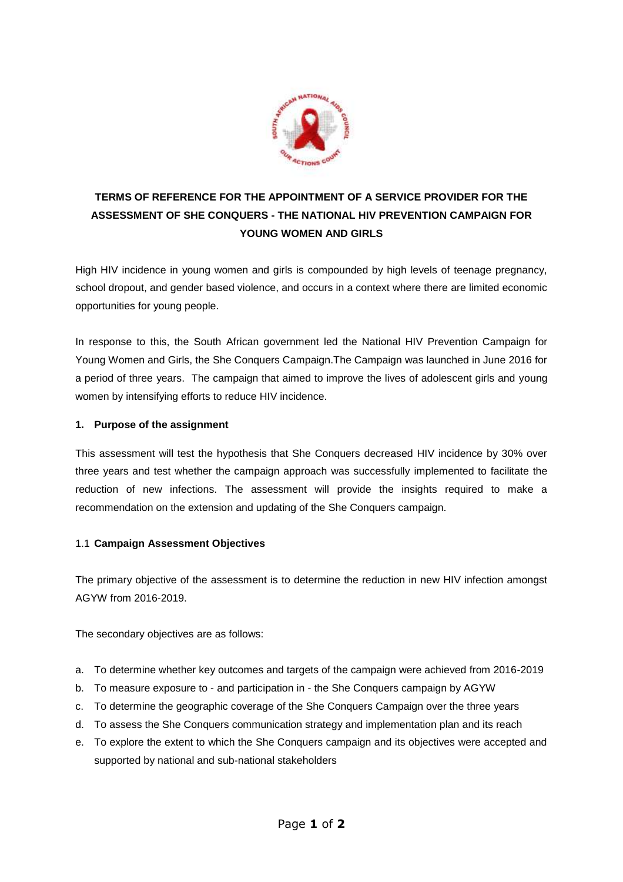

# **TERMS OF REFERENCE FOR THE APPOINTMENT OF A SERVICE PROVIDER FOR THE ASSESSMENT OF SHE CONQUERS - THE NATIONAL HIV PREVENTION CAMPAIGN FOR YOUNG WOMEN AND GIRLS**

High HIV incidence in young women and girls is compounded by high levels of teenage pregnancy, school dropout, and gender based violence, and occurs in a context where there are limited economic opportunities for young people.

In response to this, the South African government led the National HIV Prevention Campaign for Young Women and Girls, the She Conquers Campaign.The Campaign was launched in June 2016 for a period of three years. The campaign that aimed to improve the lives of adolescent girls and young women by intensifying efforts to reduce HIV incidence.

## **1. Purpose of the assignment**

This assessment will test the hypothesis that She Conquers decreased HIV incidence by 30% over three years and test whether the campaign approach was successfully implemented to facilitate the reduction of new infections. The assessment will provide the insights required to make a recommendation on the extension and updating of the She Conquers campaign.

## 1.1 **Campaign Assessment Objectives**

The primary objective of the assessment is to determine the reduction in new HIV infection amongst AGYW from 2016-2019.

The secondary objectives are as follows:

- a. To determine whether key outcomes and targets of the campaign were achieved from 2016-2019
- b. To measure exposure to and participation in the She Conquers campaign by AGYW
- c. To determine the geographic coverage of the She Conquers Campaign over the three years
- d. To assess the She Conquers communication strategy and implementation plan and its reach
- e. To explore the extent to which the She Conquers campaign and its objectives were accepted and supported by national and sub-national stakeholders